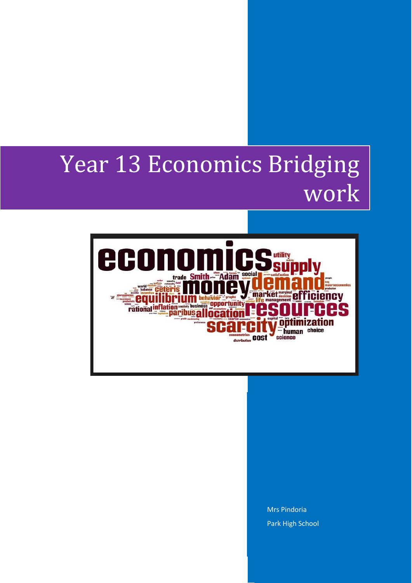## Year 13 Economics Bridging work



Mrs Pindoria Park High School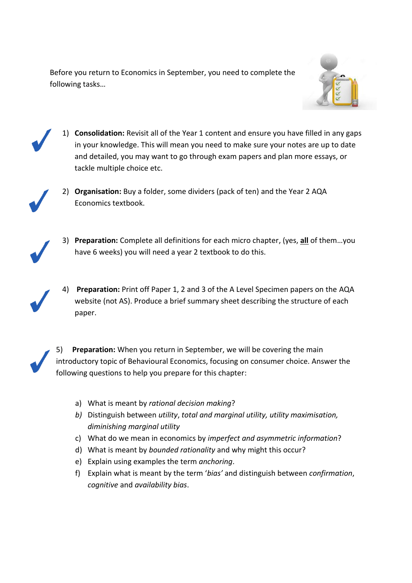Before you return to Economics in September, you need to complete the following tasks…





1) **Consolidation:** Revisit all of the Year 1 content and ensure you have filled in any gaps in your knowledge. This will mean you need to make sure your notes are up to date and detailed, you may want to go through exam papers and plan more essays, or tackle multiple choice etc.



2) **Organisation:** Buy a folder, some dividers (pack of ten) and the Year 2 AQA Economics textbook.



- 3) **Preparation:** Complete all definitions for each micro chapter, (yes, **all** of them…you have 6 weeks) you will need a year 2 textbook to do this.
- 4) **Preparation:** Print off Paper 1, 2 and 3 of the A Level Specimen papers on the AQA website (not AS). Produce a brief summary sheet describing the structure of each paper.

5) **Preparation:** When you return in September, we will be covering the main introductory topic of Behavioural Economics, focusing on consumer choice. Answer the following questions to help you prepare for this chapter:

- a) What is meant by *rational decision making*?
- *b)* Distinguish between *utility*, *total and marginal utility, utility maximisation, diminishing marginal utility*
- c) What do we mean in economics by *imperfect and asymmetric information*?
- d) What is meant by *bounded rationality* and why might this occur?
- e) Explain using examples the term *anchoring*.
- f) Explain what is meant by the term '*bias'* and distinguish between *confirmation*, *cognitive* and *availability bias*.